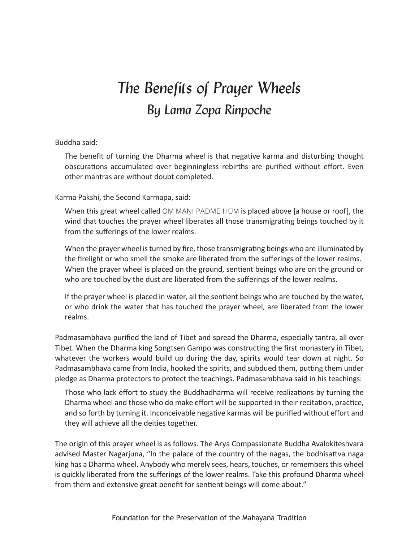## *The Benefits of Prayer Wheels By Lama Zopa Rinpoche*

## Buddha said:

The benefit of turning the Dharma wheel is that negative karma and disturbing thought obscurations accumulated over beginningless rebirths are purified without effort. Even other mantras are without doubt completed.

Karma Pakshi, the Second Karmapa, said:

When this great wheel called OM MANI PADME HŪM is placed above [a house or roof], the wind that touches the prayer wheel liberates all those transmigrating beings touched by it from the sufferings of the lower realms.

When the prayer wheel is turned by fire, those transmigrating beings who are illuminated by the firelight or who smell the smoke are liberated from the sufferings of the lower realms. When the prayer wheel is placed on the ground, sentient beings who are on the ground or who are touched by the dust are liberated from the sufferings of the lower realms.

If the prayer wheel is placed in water, all the sentient beings who are touched by the water, or who drink the water that has touched the prayer wheel, are liberated from the lower realms.

Padmasambhava purified the land of Tibet and spread the Dharma, especially tantra, all over Tibet. When the Dharma king Songtsen Gampo was constructing the first monastery in Tibet, whatever the workers would build up during the day, spirits would tear down at night. So Padmasambhava came from India, hooked the spirits, and subdued them, putting them under pledge as Dharma protectors to protect the teachings. Padmasambhava said in his teachings:

Those who lack effort to study the Buddhadharma will receive realizations by turning the Dharma wheel and those who do make effort will be supported in their recitation, practice, and so forth by turning it. Inconceivable negative karmas will be purified without effort and they will achieve all the deities together.

The origin of this prayer wheel is as follows. The Arya Compassionate Buddha Avalokiteshvara advised Master Nagarjuna, "In the palace of the country of the nagas, the bodhisattva naga king has a Dharma wheel. Anybody who merely sees, hears, touches, or remembers this wheel is quickly liberated from the sufferings of the lower realms. Take this profound Dharma wheel from them and extensive great benefit for sentient beings will come about."